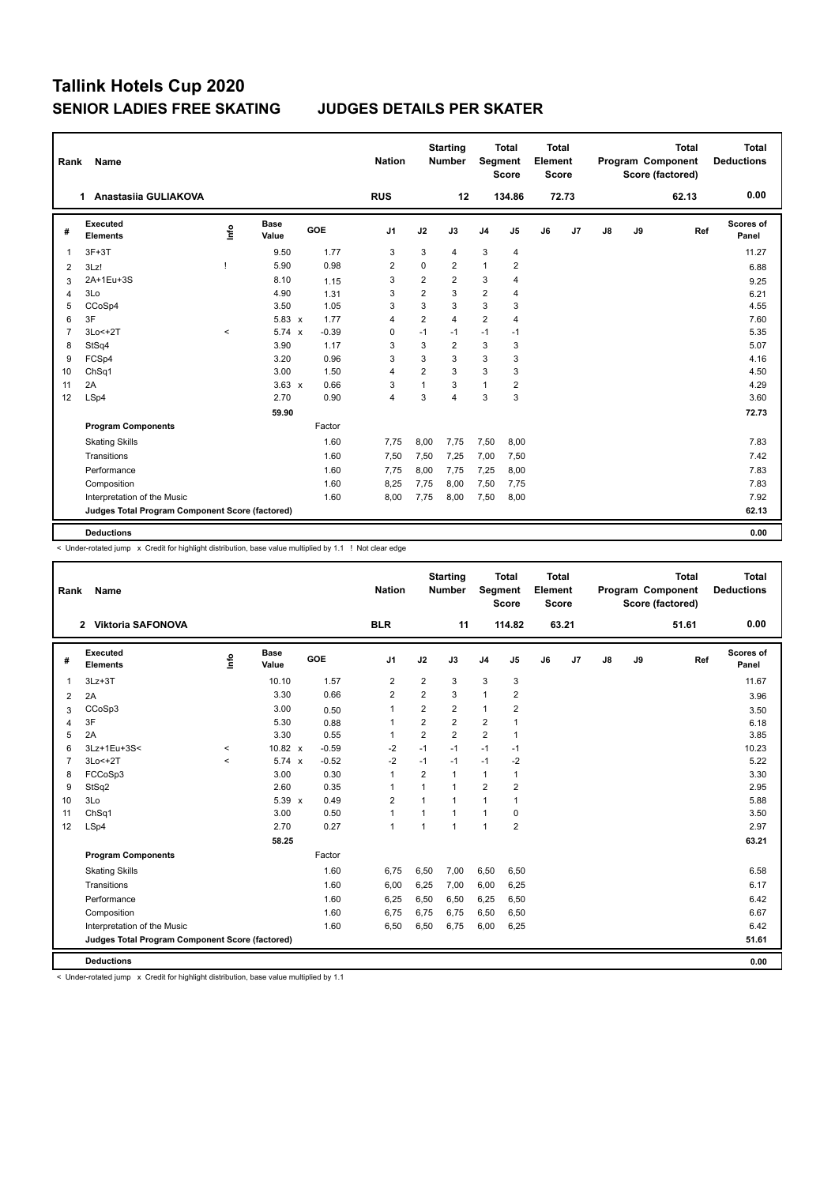| Rank           | Name                                            |         |                      |            | <b>Nation</b>  |                         | <b>Starting</b><br><b>Number</b> | Segment        | <b>Total</b><br><b>Score</b> | <b>Total</b><br>Element<br><b>Score</b> |                |    |    | <b>Total</b><br>Program Component<br>Score (factored) | <b>Total</b><br><b>Deductions</b> |
|----------------|-------------------------------------------------|---------|----------------------|------------|----------------|-------------------------|----------------------------------|----------------|------------------------------|-----------------------------------------|----------------|----|----|-------------------------------------------------------|-----------------------------------|
|                | Anastasiia GULIAKOVA<br>1                       |         |                      |            | <b>RUS</b>     |                         | 12                               |                | 134.86                       |                                         | 72.73          |    |    | 62.13                                                 | 0.00                              |
| #              | <b>Executed</b><br><b>Elements</b>              | lnfo    | <b>Base</b><br>Value | <b>GOE</b> | J <sub>1</sub> | J2                      | J3                               | J <sub>4</sub> | J <sub>5</sub>               | J6                                      | J <sub>7</sub> | J8 | J9 | Ref                                                   | <b>Scores of</b><br>Panel         |
| $\mathbf{1}$   | $3F+3T$                                         |         | 9.50                 | 1.77       | 3              | 3                       | 4                                | 3              | 4                            |                                         |                |    |    |                                                       | 11.27                             |
| $\overline{2}$ | 3Lz!                                            | п       | 5.90                 | 0.98       | $\overline{2}$ | 0                       | $\overline{2}$                   | $\mathbf{1}$   | 2                            |                                         |                |    |    |                                                       | 6.88                              |
| 3              | 2A+1Eu+3S                                       |         | 8.10                 | 1.15       | 3              | $\overline{\mathbf{c}}$ | 2                                | 3              | $\overline{4}$               |                                         |                |    |    |                                                       | 9.25                              |
| $\overline{4}$ | 3Lo                                             |         | 4.90                 | 1.31       | 3              | $\overline{2}$          | 3                                | $\overline{2}$ | 4                            |                                         |                |    |    |                                                       | 6.21                              |
| 5              | CCoSp4                                          |         | 3.50                 | 1.05       | 3              | 3                       | 3                                | 3              | 3                            |                                         |                |    |    |                                                       | 4.55                              |
| 6              | 3F                                              |         | $5.83 \times$        | 1.77       | $\overline{4}$ | $\overline{2}$          | 4                                | $\overline{2}$ | 4                            |                                         |                |    |    |                                                       | 7.60                              |
| $\overline{7}$ | $3Lo < +2T$                                     | $\prec$ | $5.74 \times$        | $-0.39$    | $\mathbf 0$    | $-1$                    | $-1$                             | $-1$           | $-1$                         |                                         |                |    |    |                                                       | 5.35                              |
| 8              | StSq4                                           |         | 3.90                 | 1.17       | 3              | 3                       | $\overline{2}$                   | 3              | 3                            |                                         |                |    |    |                                                       | 5.07                              |
| 9              | FCSp4                                           |         | 3.20                 | 0.96       | 3              | 3                       | 3                                | 3              | 3                            |                                         |                |    |    |                                                       | 4.16                              |
| 10             | ChSq1                                           |         | 3.00                 | 1.50       | $\overline{4}$ | $\overline{2}$          | 3                                | 3              | 3                            |                                         |                |    |    |                                                       | 4.50                              |
| 11             | 2A                                              |         | $3.63 \times$        | 0.66       | 3              | $\overline{1}$          | 3                                | $\mathbf{1}$   | 2                            |                                         |                |    |    |                                                       | 4.29                              |
| 12             | LSp4                                            |         | 2.70                 | 0.90       | $\overline{4}$ | 3                       | 4                                | 3              | 3                            |                                         |                |    |    |                                                       | 3.60                              |
|                |                                                 |         | 59.90                |            |                |                         |                                  |                |                              |                                         |                |    |    |                                                       | 72.73                             |
|                | <b>Program Components</b>                       |         |                      | Factor     |                |                         |                                  |                |                              |                                         |                |    |    |                                                       |                                   |
|                | <b>Skating Skills</b>                           |         |                      | 1.60       | 7,75           | 8,00                    | 7,75                             | 7,50           | 8,00                         |                                         |                |    |    |                                                       | 7.83                              |
|                | Transitions                                     |         |                      | 1.60       | 7,50           | 7,50                    | 7,25                             | 7,00           | 7,50                         |                                         |                |    |    |                                                       | 7.42                              |
|                | Performance                                     |         |                      | 1.60       | 7,75           | 8,00                    | 7,75                             | 7,25           | 8,00                         |                                         |                |    |    |                                                       | 7.83                              |
|                | Composition                                     |         |                      | 1.60       | 8,25           | 7,75                    | 8,00                             | 7,50           | 7,75                         |                                         |                |    |    |                                                       | 7.83                              |
|                | Interpretation of the Music                     |         |                      | 1.60       | 8,00           | 7,75                    | 8,00                             | 7,50           | 8,00                         |                                         |                |    |    |                                                       | 7.92                              |
|                | Judges Total Program Component Score (factored) |         |                      |            |                |                         |                                  |                |                              |                                         |                |    |    |                                                       | 62.13                             |
|                | <b>Deductions</b>                               |         |                      |            |                |                         |                                  |                |                              |                                         |                |    |    |                                                       | 0.00                              |

< Under-rotated jump x Credit for highlight distribution, base value multiplied by 1.1 ! Not clear edge

| Rank           | Name                                            |             |                      |         | <b>Nation</b>           |                | <b>Starting</b><br>Number | Segment        | <b>Total</b><br><b>Score</b> | Total<br>Element<br><b>Score</b> |                |    |    | <b>Total</b><br><b>Program Component</b><br>Score (factored) | <b>Total</b><br><b>Deductions</b> |
|----------------|-------------------------------------------------|-------------|----------------------|---------|-------------------------|----------------|---------------------------|----------------|------------------------------|----------------------------------|----------------|----|----|--------------------------------------------------------------|-----------------------------------|
|                | 2 Viktoria SAFONOVA                             |             |                      |         | <b>BLR</b>              |                | 11                        |                | 114.82                       |                                  | 63.21          |    |    | 51.61                                                        | 0.00                              |
| #              | Executed<br><b>Elements</b>                     | <u>lnfo</u> | <b>Base</b><br>Value | GOE     | J <sub>1</sub>          | J2             | J3                        | J <sub>4</sub> | J <sub>5</sub>               | J6                               | J <sub>7</sub> | J8 | J9 | Ref                                                          | Scores of<br>Panel                |
| 1              | $3Lz + 3T$                                      |             | 10.10                | 1.57    | $\overline{\mathbf{c}}$ | $\overline{2}$ | 3                         | 3              | 3                            |                                  |                |    |    |                                                              | 11.67                             |
| 2              | 2A                                              |             | 3.30                 | 0.66    | $\overline{2}$          | $\overline{2}$ | 3                         | $\mathbf{1}$   | $\overline{\mathbf{c}}$      |                                  |                |    |    |                                                              | 3.96                              |
| 3              | CCoSp3                                          |             | 3.00                 | 0.50    | $\overline{1}$          | $\overline{2}$ | $\overline{2}$            | 1              | $\overline{2}$               |                                  |                |    |    |                                                              | 3.50                              |
| $\overline{4}$ | 3F                                              |             | 5.30                 | 0.88    | $\overline{1}$          | $\overline{2}$ | $\overline{2}$            | $\overline{2}$ |                              |                                  |                |    |    |                                                              | 6.18                              |
| 5              | 2A                                              |             | 3.30                 | 0.55    | $\overline{1}$          | $\overline{2}$ | $\overline{2}$            | $\overline{2}$ | $\mathbf{1}$                 |                                  |                |    |    |                                                              | 3.85                              |
| 6              | 3Lz+1Eu+3S<                                     | $\,<$       | $10.82 \times$       | $-0.59$ | $-2$                    | $-1$           | $-1$                      | $-1$           | $-1$                         |                                  |                |    |    |                                                              | 10.23                             |
| $\overline{7}$ | $3Lo < +2T$                                     | $\prec$     | $5.74 \times$        | $-0.52$ | $-2$                    | $-1$           | $-1$                      | $-1$           | $-2$                         |                                  |                |    |    |                                                              | 5.22                              |
| 8              | FCCoSp3                                         |             | 3.00                 | 0.30    | $\mathbf{1}$            | $\overline{2}$ | $\mathbf{1}$              | 1              | 1                            |                                  |                |    |    |                                                              | 3.30                              |
| 9              | StSq2                                           |             | 2.60                 | 0.35    | 1                       | 1              | $\mathbf{1}$              | $\overline{2}$ | $\overline{\mathbf{c}}$      |                                  |                |    |    |                                                              | 2.95                              |
| 10             | 3Lo                                             |             | 5.39 x               | 0.49    | $\overline{\mathbf{c}}$ | 1              | $\mathbf{1}$              | 1              | $\mathbf{1}$                 |                                  |                |    |    |                                                              | 5.88                              |
| 11             | ChSq1                                           |             | 3.00                 | 0.50    | $\overline{1}$          | $\mathbf{1}$   | $\mathbf{1}$              | 1              | 0                            |                                  |                |    |    |                                                              | 3.50                              |
| 12             | LSp4                                            |             | 2.70                 | 0.27    | $\overline{1}$          | 1              | $\mathbf{1}$              | 1              | $\overline{2}$               |                                  |                |    |    |                                                              | 2.97                              |
|                |                                                 |             | 58.25                |         |                         |                |                           |                |                              |                                  |                |    |    |                                                              | 63.21                             |
|                | <b>Program Components</b>                       |             |                      | Factor  |                         |                |                           |                |                              |                                  |                |    |    |                                                              |                                   |
|                | <b>Skating Skills</b>                           |             |                      | 1.60    | 6.75                    | 6,50           | 7,00                      | 6,50           | 6,50                         |                                  |                |    |    |                                                              | 6.58                              |
|                | Transitions                                     |             |                      | 1.60    | 6,00                    | 6,25           | 7,00                      | 6,00           | 6,25                         |                                  |                |    |    |                                                              | 6.17                              |
|                | Performance                                     |             |                      | 1.60    | 6,25                    | 6,50           | 6,50                      | 6,25           | 6,50                         |                                  |                |    |    |                                                              | 6.42                              |
|                | Composition                                     |             |                      | 1.60    | 6.75                    | 6,75           | 6.75                      | 6,50           | 6,50                         |                                  |                |    |    |                                                              | 6.67                              |
|                | Interpretation of the Music                     |             |                      | 1.60    | 6,50                    | 6,50           | 6,75                      | 6,00           | 6,25                         |                                  |                |    |    |                                                              | 6.42                              |
|                | Judges Total Program Component Score (factored) |             |                      |         |                         |                |                           |                |                              |                                  |                |    |    |                                                              | 51.61                             |
|                | <b>Deductions</b>                               |             |                      |         |                         |                |                           |                |                              |                                  |                |    |    |                                                              | 0.00                              |

< Under-rotated jump x Credit for highlight distribution, base value multiplied by 1.1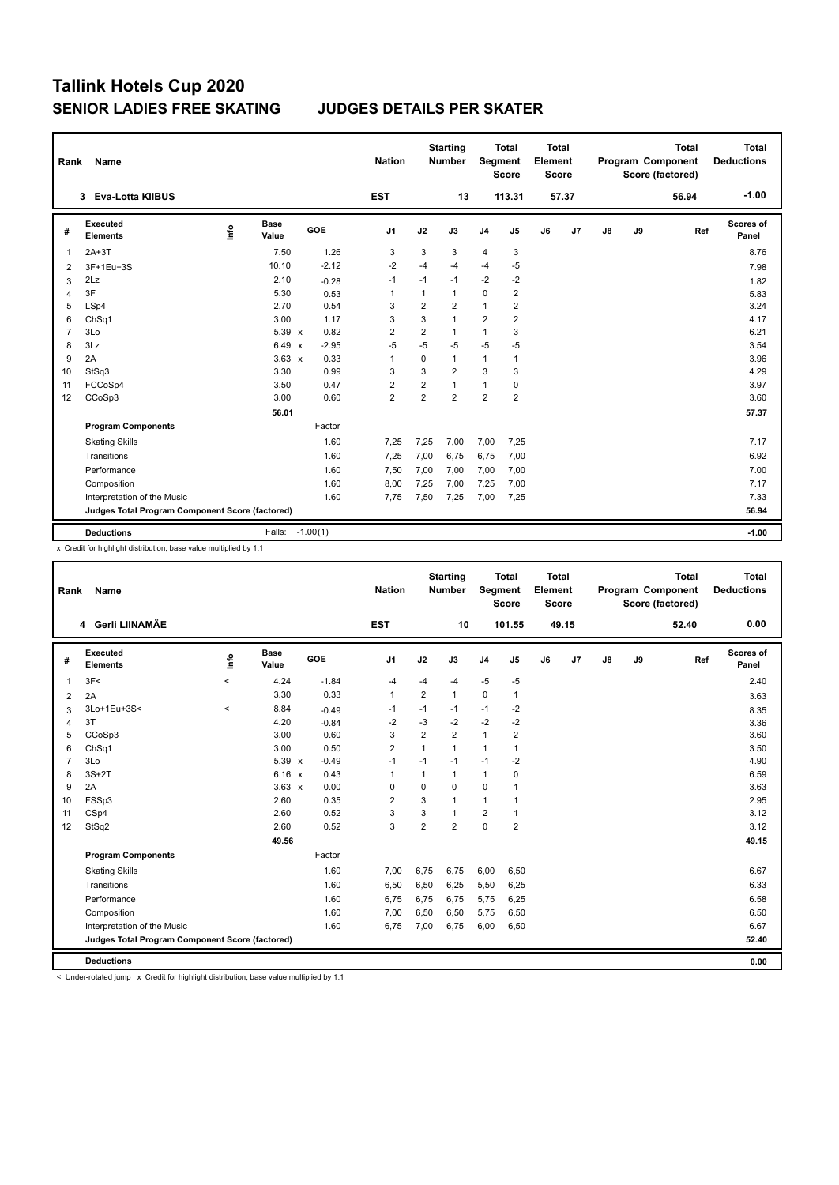| Rank           | Name                                            |      |                      |            | <b>Nation</b>           |                         | <b>Starting</b><br><b>Number</b> | Segment        | <b>Total</b><br><b>Score</b> | <b>Total</b><br>Element<br><b>Score</b> |       |    |    | <b>Total</b><br>Program Component<br>Score (factored) | <b>Total</b><br><b>Deductions</b> |
|----------------|-------------------------------------------------|------|----------------------|------------|-------------------------|-------------------------|----------------------------------|----------------|------------------------------|-----------------------------------------|-------|----|----|-------------------------------------------------------|-----------------------------------|
|                | <b>Eva-Lotta KIIBUS</b><br>3                    |      |                      |            | <b>EST</b>              |                         | 13                               |                | 113.31                       |                                         | 57.37 |    |    | 56.94                                                 | $-1.00$                           |
| #              | Executed<br><b>Elements</b>                     | lnfo | <b>Base</b><br>Value | GOE        | J <sub>1</sub>          | J2                      | J3                               | J <sub>4</sub> | J <sub>5</sub>               | J6                                      | J7    | J8 | J9 | Ref                                                   | <b>Scores of</b><br>Panel         |
| 1              | $2A+3T$                                         |      | 7.50                 | 1.26       | 3                       | 3                       | 3                                | $\overline{4}$ | 3                            |                                         |       |    |    |                                                       | 8.76                              |
| 2              | 3F+1Eu+3S                                       |      | 10.10                | $-2.12$    | $-2$                    | $-4$                    | $-4$                             | $-4$           | $-5$                         |                                         |       |    |    |                                                       | 7.98                              |
| 3              | 2Lz                                             |      | 2.10                 | $-0.28$    | $-1$                    | $-1$                    | $-1$                             | $-2$           | $-2$                         |                                         |       |    |    |                                                       | 1.82                              |
| 4              | 3F                                              |      | 5.30                 | 0.53       | $\mathbf{1}$            | $\mathbf{1}$            | $\mathbf{1}$                     | $\mathbf 0$    | $\overline{2}$               |                                         |       |    |    |                                                       | 5.83                              |
| 5              | LSp4                                            |      | 2.70                 | 0.54       | 3                       | $\overline{2}$          | $\overline{2}$                   | $\mathbf{1}$   | $\overline{2}$               |                                         |       |    |    |                                                       | 3.24                              |
| 6              | ChSq1                                           |      | 3.00                 | 1.17       | 3                       | 3                       | $\mathbf{1}$                     | $\overline{2}$ | $\overline{2}$               |                                         |       |    |    |                                                       | 4.17                              |
| $\overline{7}$ | 3Lo                                             |      | $5.39 \times$        | 0.82       | $\overline{2}$          | $\overline{\mathbf{c}}$ | 1                                | $\mathbf{1}$   | 3                            |                                         |       |    |    |                                                       | 6.21                              |
| 8              | 3Lz                                             |      | 6.49 x               | $-2.95$    | -5                      | $-5$                    | $-5$                             | $-5$           | $-5$                         |                                         |       |    |    |                                                       | 3.54                              |
| 9              | 2A                                              |      | $3.63 \times$        | 0.33       | $\mathbf{1}$            | $\Omega$                | $\mathbf{1}$                     | $\mathbf{1}$   | 1                            |                                         |       |    |    |                                                       | 3.96                              |
| 10             | StSq3                                           |      | 3.30                 | 0.99       | 3                       | 3                       | $\overline{2}$                   | 3              | 3                            |                                         |       |    |    |                                                       | 4.29                              |
| 11             | FCCoSp4                                         |      | 3.50                 | 0.47       | $\overline{\mathbf{c}}$ | $\overline{\mathbf{c}}$ | $\mathbf{1}$                     | $\mathbf{1}$   | 0                            |                                         |       |    |    |                                                       | 3.97                              |
| 12             | CCoSp3                                          |      | 3.00                 | 0.60       | $\overline{2}$          | $\overline{2}$          | $\overline{2}$                   | $\overline{2}$ | $\overline{2}$               |                                         |       |    |    |                                                       | 3.60                              |
|                |                                                 |      | 56.01                |            |                         |                         |                                  |                |                              |                                         |       |    |    |                                                       | 57.37                             |
|                | <b>Program Components</b>                       |      |                      | Factor     |                         |                         |                                  |                |                              |                                         |       |    |    |                                                       |                                   |
|                | <b>Skating Skills</b>                           |      |                      | 1.60       | 7,25                    | 7,25                    | 7.00                             | 7,00           | 7,25                         |                                         |       |    |    |                                                       | 7.17                              |
|                | Transitions                                     |      |                      | 1.60       | 7,25                    | 7,00                    | 6,75                             | 6,75           | 7,00                         |                                         |       |    |    |                                                       | 6.92                              |
|                | Performance                                     |      |                      | 1.60       | 7,50                    | 7,00                    | 7,00                             | 7,00           | 7,00                         |                                         |       |    |    |                                                       | 7.00                              |
|                | Composition                                     |      |                      | 1.60       | 8,00                    | 7,25                    | 7,00                             | 7,25           | 7,00                         |                                         |       |    |    |                                                       | 7.17                              |
|                | Interpretation of the Music                     |      |                      | 1.60       | 7,75                    | 7,50                    | 7,25                             | 7,00           | 7,25                         |                                         |       |    |    |                                                       | 7.33                              |
|                | Judges Total Program Component Score (factored) |      |                      |            |                         |                         |                                  |                |                              |                                         |       |    |    |                                                       | 56.94                             |
|                | <b>Deductions</b>                               |      | Falls:               | $-1.00(1)$ |                         |                         |                                  |                |                              |                                         |       |    |    |                                                       | $-1.00$                           |

x Credit for highlight distribution, base value multiplied by 1.1

| Rank           | Name                                            |          |                      |         | <b>Nation</b>           |                         | <b>Starting</b><br><b>Number</b> | Segment      | <b>Total</b><br><b>Score</b> | <b>Total</b><br>Element<br>Score |       |    |    | <b>Total</b><br>Program Component<br>Score (factored) | <b>Total</b><br><b>Deductions</b> |
|----------------|-------------------------------------------------|----------|----------------------|---------|-------------------------|-------------------------|----------------------------------|--------------|------------------------------|----------------------------------|-------|----|----|-------------------------------------------------------|-----------------------------------|
|                | 4 Gerli LIINAMÄE                                |          |                      |         | <b>EST</b>              |                         | 10                               |              | 101.55                       |                                  | 49.15 |    |    | 52.40                                                 | 0.00                              |
| #              | Executed<br><b>Elements</b>                     | lnfo     | <b>Base</b><br>Value | GOE     | J <sub>1</sub>          | J2                      | J3                               | J4           | J <sub>5</sub>               | J6                               | J7    | J8 | J9 | Ref                                                   | Scores of<br>Panel                |
| 1              | 3F<                                             | $\hat{}$ | 4.24                 | $-1.84$ | $-4$                    | -4                      | $-4$                             | $-5$         | $-5$                         |                                  |       |    |    |                                                       | 2.40                              |
| 2              | 2A                                              |          | 3.30                 | 0.33    | $\overline{1}$          | $\overline{2}$          | $\mathbf{1}$                     | $\mathbf 0$  | $\mathbf{1}$                 |                                  |       |    |    |                                                       | 3.63                              |
| 3              | 3Lo+1Eu+3S<                                     | $\prec$  | 8.84                 | $-0.49$ | $-1$                    | $-1$                    | $-1$                             | $-1$         | $-2$                         |                                  |       |    |    |                                                       | 8.35                              |
| 4              | 3T                                              |          | 4.20                 | $-0.84$ | $-2$                    | $-3$                    | $-2$                             | $-2$         | $-2$                         |                                  |       |    |    |                                                       | 3.36                              |
| 5              | CCoSp3                                          |          | 3.00                 | 0.60    | 3                       | $\overline{\mathbf{c}}$ | $\overline{2}$                   | $\mathbf{1}$ | $\overline{\mathbf{c}}$      |                                  |       |    |    |                                                       | 3.60                              |
| 6              | ChSq1                                           |          | 3.00                 | 0.50    | $\overline{\mathbf{c}}$ | $\mathbf{1}$            | $\mathbf{1}$                     | $\mathbf{1}$ | $\mathbf{1}$                 |                                  |       |    |    |                                                       | 3.50                              |
| $\overline{7}$ | 3Lo                                             |          | 5.39 x               | $-0.49$ | $-1$                    | $-1$                    | $-1$                             | $-1$         | -2                           |                                  |       |    |    |                                                       | 4.90                              |
| 8              | $3S+2T$                                         |          | $6.16 \times$        | 0.43    | $\mathbf{1}$            | $\mathbf{1}$            | $\mathbf{1}$                     | $\mathbf{1}$ | 0                            |                                  |       |    |    |                                                       | 6.59                              |
| 9              | 2A                                              |          | $3.63 \times$        | 0.00    | $\Omega$                | $\mathbf 0$             | $\Omega$                         | 0            | 1                            |                                  |       |    |    |                                                       | 3.63                              |
| 10             | FSSp3                                           |          | 2.60                 | 0.35    | $\overline{2}$          | 3                       | $\mathbf{1}$                     | $\mathbf{1}$ | $\overline{1}$               |                                  |       |    |    |                                                       | 2.95                              |
| 11             | CSp4                                            |          | 2.60                 | 0.52    | 3                       | 3                       | 1                                | 2            | 1                            |                                  |       |    |    |                                                       | 3.12                              |
| 12             | StSq2                                           |          | 2.60                 | 0.52    | 3                       | $\overline{2}$          | $\overline{2}$                   | $\Omega$     | $\overline{2}$               |                                  |       |    |    |                                                       | 3.12                              |
|                |                                                 |          | 49.56                |         |                         |                         |                                  |              |                              |                                  |       |    |    |                                                       | 49.15                             |
|                | <b>Program Components</b>                       |          |                      | Factor  |                         |                         |                                  |              |                              |                                  |       |    |    |                                                       |                                   |
|                | <b>Skating Skills</b>                           |          |                      | 1.60    | 7,00                    | 6,75                    | 6,75                             | 6,00         | 6,50                         |                                  |       |    |    |                                                       | 6.67                              |
|                | Transitions                                     |          |                      | 1.60    | 6,50                    | 6,50                    | 6,25                             | 5,50         | 6,25                         |                                  |       |    |    |                                                       | 6.33                              |
|                | Performance                                     |          |                      | 1.60    | 6,75                    | 6,75                    | 6,75                             | 5,75         | 6,25                         |                                  |       |    |    |                                                       | 6.58                              |
|                | Composition                                     |          |                      | 1.60    | 7,00                    | 6,50                    | 6,50                             | 5,75         | 6,50                         |                                  |       |    |    |                                                       | 6.50                              |
|                | Interpretation of the Music                     |          |                      | 1.60    | 6,75                    | 7,00                    | 6,75                             | 6,00         | 6,50                         |                                  |       |    |    |                                                       | 6.67                              |
|                | Judges Total Program Component Score (factored) |          |                      |         |                         |                         |                                  |              |                              |                                  |       |    |    |                                                       | 52.40                             |
|                | <b>Deductions</b>                               |          |                      |         |                         |                         |                                  |              |                              |                                  |       |    |    |                                                       | 0.00                              |

< Under-rotated jump x Credit for highlight distribution, base value multiplied by 1.1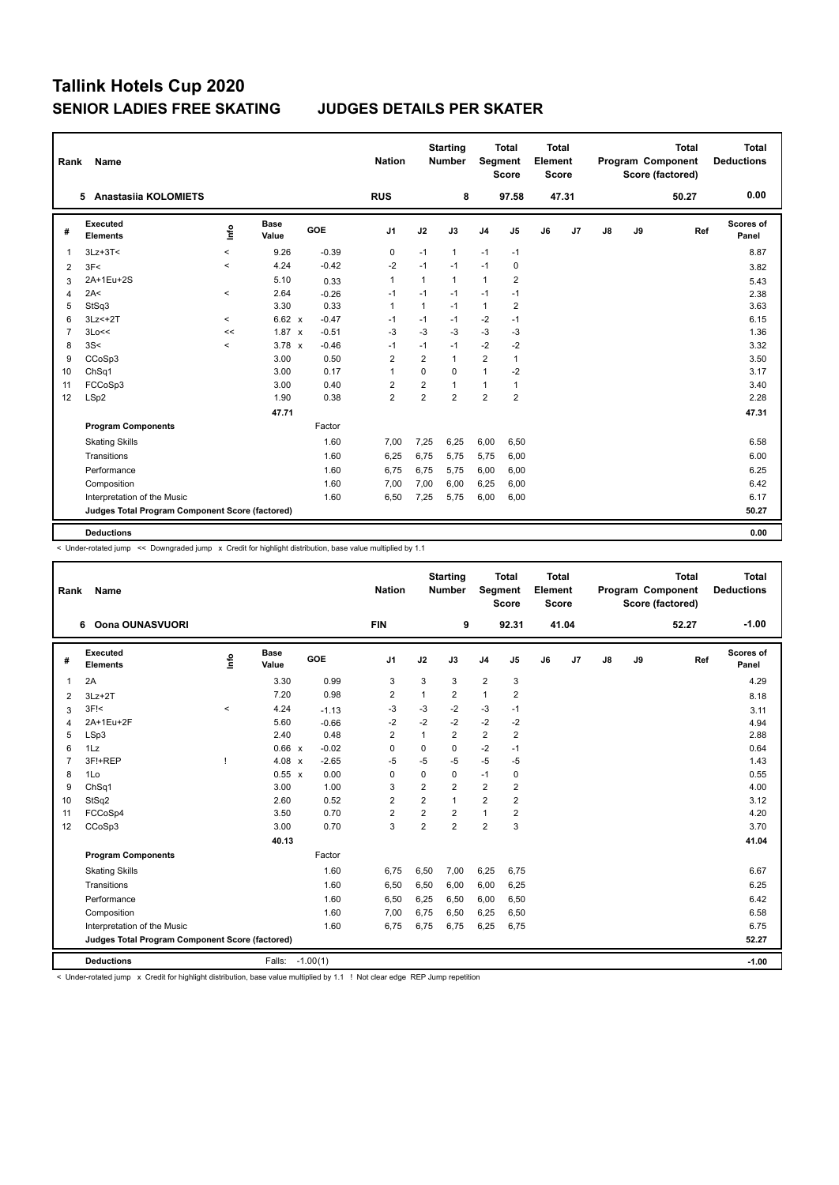| Name                        |                                                               |                      |                                                 | <b>Nation</b>                                           |                         |                |                                          |                |                                                          |    |                                                  |    | <b>Total</b> | <b>Total</b><br><b>Deductions</b>            |
|-----------------------------|---------------------------------------------------------------|----------------------|-------------------------------------------------|---------------------------------------------------------|-------------------------|----------------|------------------------------------------|----------------|----------------------------------------------------------|----|--------------------------------------------------|----|--------------|----------------------------------------------|
| <b>Anastasiia KOLOMIETS</b> |                                                               |                      |                                                 | <b>RUS</b>                                              |                         | 8              |                                          |                |                                                          |    |                                                  |    | 50.27        | 0.00                                         |
| Executed<br><b>Elements</b> | ١m                                                            | <b>Base</b><br>Value | GOE                                             | J <sub>1</sub>                                          | J2                      | J3             | J <sub>4</sub>                           | J5             | J6                                                       | J7 | J8                                               | J9 |              | <b>Scores of</b><br>Panel                    |
| $3Lz + 3T <$                | $\overline{\phantom{a}}$                                      | 9.26                 | $-0.39$                                         | 0                                                       | $-1$                    | $\mathbf{1}$   | $-1$                                     | $-1$           |                                                          |    |                                                  |    |              | 8.87                                         |
| 3F<                         | $\hat{}$                                                      | 4.24                 | $-0.42$                                         | $-2$                                                    | $-1$                    | $-1$           | $-1$                                     | 0              |                                                          |    |                                                  |    |              | 3.82                                         |
| 2A+1Eu+2S                   |                                                               | 5.10                 | 0.33                                            | $\mathbf{1}$                                            | $\mathbf{1}$            | 1              | $\mathbf{1}$                             | $\overline{2}$ |                                                          |    |                                                  |    |              | 5.43                                         |
| 2A<                         | $\prec$                                                       | 2.64                 | $-0.26$                                         | $-1$                                                    | $-1$                    | $-1$           | $-1$                                     | $-1$           |                                                          |    |                                                  |    |              | 2.38                                         |
| StSq3                       |                                                               | 3.30                 | 0.33                                            | 1                                                       | $\mathbf{1}$            | $-1$           | $\mathbf{1}$                             | $\overline{2}$ |                                                          |    |                                                  |    |              | 3.63                                         |
| $3Lz<+2T$                   | $\hat{}$                                                      |                      | $-0.47$                                         | $-1$                                                    | $-1$                    | $-1$           | $-2$                                     | $-1$           |                                                          |    |                                                  |    |              | 6.15                                         |
| 3Lo<<                       | <<                                                            |                      | $-0.51$                                         | $-3$                                                    | $-3$                    | $-3$           | $-3$                                     | $-3$           |                                                          |    |                                                  |    |              | 1.36                                         |
| 3S<                         | $\prec$                                                       |                      | $-0.46$                                         | $-1$                                                    | $-1$                    | $-1$           | $-2$                                     | $-2$           |                                                          |    |                                                  |    |              | 3.32                                         |
| CCoSp3                      |                                                               | 3.00                 | 0.50                                            | $\overline{2}$                                          | $\overline{\mathbf{c}}$ | 1              | $\overline{2}$                           | $\mathbf{1}$   |                                                          |    |                                                  |    |              | 3.50                                         |
| ChSq1                       |                                                               | 3.00                 | 0.17                                            | $\mathbf{1}$                                            | $\Omega$                | 0              | $\mathbf{1}$                             | $-2$           |                                                          |    |                                                  |    |              | 3.17                                         |
| FCCoSp3                     |                                                               | 3.00                 | 0.40                                            | $\overline{2}$                                          | $\overline{2}$          | 1              | $\mathbf{1}$                             | 1              |                                                          |    |                                                  |    |              | 3.40                                         |
| LSp2                        |                                                               | 1.90                 | 0.38                                            | $\overline{2}$                                          | $\overline{2}$          | $\overline{2}$ | $\overline{2}$                           | $\overline{2}$ |                                                          |    |                                                  |    |              | 2.28                                         |
|                             |                                                               | 47.71                |                                                 |                                                         |                         |                |                                          |                |                                                          |    |                                                  |    |              | 47.31                                        |
| <b>Program Components</b>   |                                                               |                      | Factor                                          |                                                         |                         |                |                                          |                |                                                          |    |                                                  |    |              |                                              |
| <b>Skating Skills</b>       |                                                               |                      | 1.60                                            | 7,00                                                    | 7,25                    | 6,25           | 6,00                                     | 6,50           |                                                          |    |                                                  |    |              | 6.58                                         |
| Transitions                 |                                                               |                      | 1.60                                            | 6,25                                                    | 6,75                    | 5,75           | 5,75                                     | 6,00           |                                                          |    |                                                  |    |              | 6.00                                         |
| Performance                 |                                                               |                      | 1.60                                            | 6,75                                                    | 6,75                    | 5,75           | 6,00                                     | 6,00           |                                                          |    |                                                  |    |              | 6.25                                         |
| Composition                 |                                                               |                      | 1.60                                            | 7,00                                                    | 7,00                    | 6,00           | 6,25                                     | 6,00           |                                                          |    |                                                  |    |              | 6.42                                         |
|                             |                                                               |                      |                                                 |                                                         |                         |                |                                          |                |                                                          |    |                                                  |    |              | 6.17                                         |
|                             |                                                               |                      |                                                 |                                                         |                         |                |                                          |                |                                                          |    |                                                  |    |              | 50.27                                        |
|                             |                                                               |                      |                                                 |                                                         |                         |                |                                          |                |                                                          |    |                                                  |    |              | 0.00                                         |
|                             | Rank<br>5<br>Interpretation of the Music<br><b>Deductions</b> |                      | Judges Total Program Component Score (factored) | $6.62 \times$<br>$1.87 \times$<br>$3.78 \times$<br>1.60 | 6,50                    | 7,25           | <b>Starting</b><br><b>Number</b><br>5,75 | 6,00           | <b>Total</b><br>Segment<br><b>Score</b><br>97.58<br>6,00 |    | <b>Total</b><br>Element<br><b>Score</b><br>47.31 |    |              | Program Component<br>Score (factored)<br>Ref |

< Under-rotated jump << Downgraded jump x Credit for highlight distribution, base value multiplied by 1.1

| Rank | Name                                            |          |                      |            | <b>Nation</b>  |                | <b>Starting</b><br><b>Number</b> | Segment        | <b>Total</b><br><b>Score</b> | <b>Total</b><br>Element<br>Score |       |               |    | <b>Total</b><br>Program Component<br>Score (factored) | <b>Total</b><br><b>Deductions</b> |
|------|-------------------------------------------------|----------|----------------------|------------|----------------|----------------|----------------------------------|----------------|------------------------------|----------------------------------|-------|---------------|----|-------------------------------------------------------|-----------------------------------|
|      | <b>Oona OUNASVUORI</b><br>6                     |          |                      |            | <b>FIN</b>     |                | 9                                |                | 92.31                        |                                  | 41.04 |               |    | 52.27                                                 | $-1.00$                           |
| #    | Executed<br><b>Elements</b>                     | lnfo     | <b>Base</b><br>Value | GOE        | J <sub>1</sub> | J2             | J3                               | J4             | J5                           | J6                               | J7    | $\mathsf{J}8$ | J9 | Ref                                                   | Scores of<br>Panel                |
| 1    | 2A                                              |          | 3.30                 | 0.99       | 3              | 3              | 3                                | $\overline{2}$ | 3                            |                                  |       |               |    |                                                       | 4.29                              |
| 2    | $3Lz + 2T$                                      |          | 7.20                 | 0.98       | $\overline{2}$ | $\mathbf{1}$   | $\overline{2}$                   | $\mathbf{1}$   | $\overline{2}$               |                                  |       |               |    |                                                       | 8.18                              |
| 3    | 3F!<                                            | $\hat{}$ | 4.24                 | $-1.13$    | -3             | -3             | $-2$                             | -3             | $-1$                         |                                  |       |               |    |                                                       | 3.11                              |
| 4    | 2A+1Eu+2F                                       |          | 5.60                 | $-0.66$    | $-2$           | $-2$           | $-2$                             | $-2$           | $-2$                         |                                  |       |               |    |                                                       | 4.94                              |
| 5    | LSp3                                            |          | 2.40                 | 0.48       | $\overline{2}$ | $\mathbf{1}$   | $\overline{2}$                   | $\overline{2}$ | $\overline{2}$               |                                  |       |               |    |                                                       | 2.88                              |
| 6    | 1Lz                                             |          | 0.66 x               | $-0.02$    | 0              | 0              | 0                                | $-2$           | $-1$                         |                                  |       |               |    |                                                       | 0.64                              |
| 7    | 3F!+REP                                         | J        | $4.08 \times$        | $-2.65$    | $-5$           | $-5$           | $-5$                             | $-5$           | $-5$                         |                                  |       |               |    |                                                       | 1.43                              |
| 8    | 1Lo                                             |          | $0.55 \times$        | 0.00       | $\mathbf 0$    | 0              | 0                                | $-1$           | $\mathbf 0$                  |                                  |       |               |    |                                                       | 0.55                              |
| 9    | ChSq1                                           |          | 3.00                 | 1.00       | 3              | $\overline{2}$ | $\overline{2}$                   | $\overline{2}$ | $\overline{2}$               |                                  |       |               |    |                                                       | 4.00                              |
| 10   | StSq2                                           |          | 2.60                 | 0.52       | $\overline{2}$ | $\overline{2}$ | 1                                | $\overline{2}$ | $\overline{2}$               |                                  |       |               |    |                                                       | 3.12                              |
| 11   | FCCoSp4                                         |          | 3.50                 | 0.70       | $\overline{2}$ | $\overline{2}$ | $\overline{2}$                   | 1              | 2                            |                                  |       |               |    |                                                       | 4.20                              |
| 12   | CCoSp3                                          |          | 3.00                 | 0.70       | 3              | $\overline{2}$ | $\overline{2}$                   | $\overline{2}$ | 3                            |                                  |       |               |    |                                                       | 3.70                              |
|      |                                                 |          | 40.13                |            |                |                |                                  |                |                              |                                  |       |               |    |                                                       | 41.04                             |
|      | <b>Program Components</b>                       |          |                      | Factor     |                |                |                                  |                |                              |                                  |       |               |    |                                                       |                                   |
|      | <b>Skating Skills</b>                           |          |                      | 1.60       | 6,75           | 6,50           | 7,00                             | 6,25           | 6,75                         |                                  |       |               |    |                                                       | 6.67                              |
|      | Transitions                                     |          |                      | 1.60       | 6,50           | 6,50           | 6,00                             | 6,00           | 6,25                         |                                  |       |               |    |                                                       | 6.25                              |
|      | Performance                                     |          |                      | 1.60       | 6,50           | 6,25           | 6,50                             | 6,00           | 6,50                         |                                  |       |               |    |                                                       | 6.42                              |
|      | Composition                                     |          |                      | 1.60       | 7,00           | 6,75           | 6,50                             | 6,25           | 6,50                         |                                  |       |               |    |                                                       | 6.58                              |
|      | Interpretation of the Music                     |          |                      | 1.60       | 6,75           | 6,75           | 6,75                             | 6,25           | 6,75                         |                                  |       |               |    |                                                       | 6.75                              |
|      | Judges Total Program Component Score (factored) |          |                      |            |                |                |                                  |                |                              |                                  |       |               |    |                                                       | 52.27                             |
|      | <b>Deductions</b>                               |          | Falls:               | $-1.00(1)$ |                |                |                                  |                |                              |                                  |       |               |    |                                                       | $-1.00$                           |

< Under-rotated jump x Credit for highlight distribution, base value multiplied by 1.1 ! Not clear edge REP Jump repetition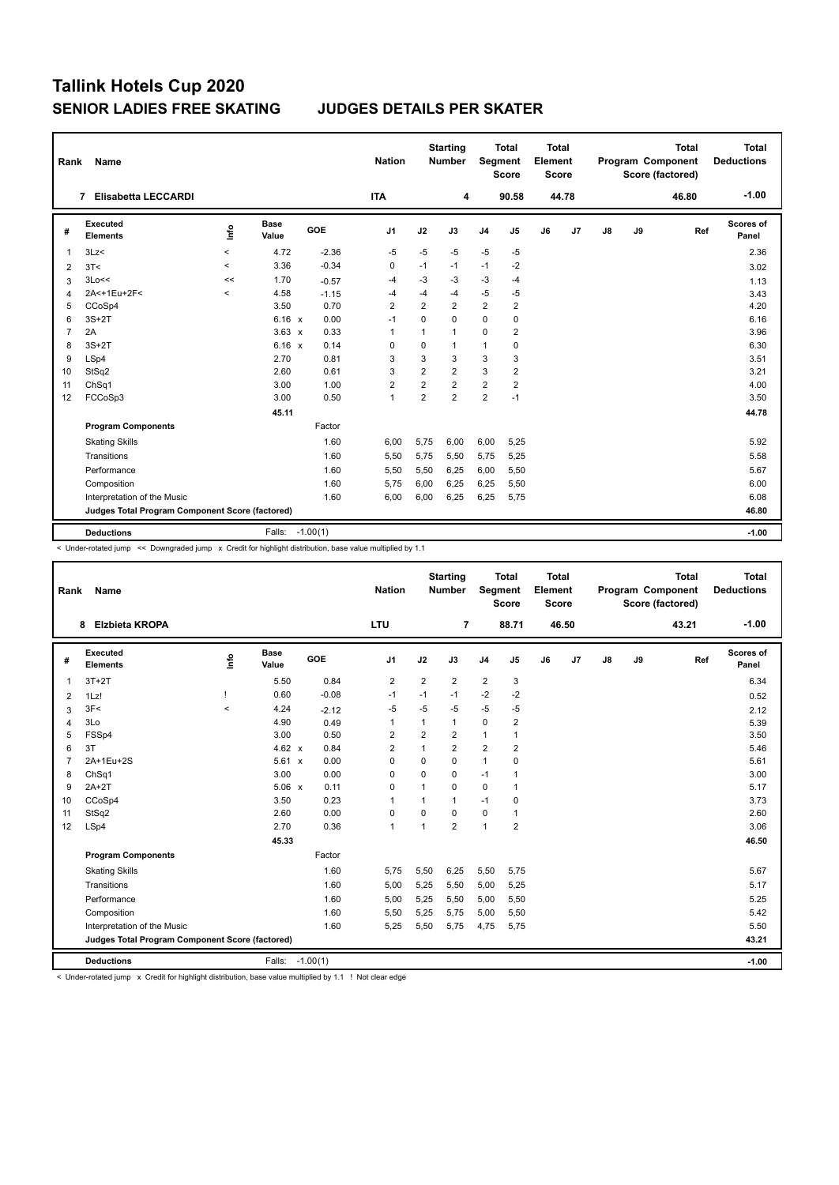| Rank           | <b>Name</b>                                     |         |                      |            | <b>Nation</b>  |                | <b>Starting</b><br><b>Number</b> | Segment        | <b>Total</b><br><b>Score</b> | Total<br>Element<br><b>Score</b> |       |               |    | <b>Total</b><br>Program Component<br>Score (factored) | <b>Total</b><br><b>Deductions</b> |
|----------------|-------------------------------------------------|---------|----------------------|------------|----------------|----------------|----------------------------------|----------------|------------------------------|----------------------------------|-------|---------------|----|-------------------------------------------------------|-----------------------------------|
|                | <b>Elisabetta LECCARDI</b><br>7                 |         |                      |            | <b>ITA</b>     |                | 4                                |                | 90.58                        |                                  | 44.78 |               |    | 46.80                                                 | $-1.00$                           |
| #              | Executed<br><b>Elements</b>                     | Info    | <b>Base</b><br>Value | <b>GOE</b> | J <sub>1</sub> | J2             | J3                               | J <sub>4</sub> | J5                           | J6                               | J7    | $\mathsf{J}8$ | J9 | Ref                                                   | Scores of<br>Panel                |
| $\overline{1}$ | 3Lz                                             | $\,<$   | 4.72                 | $-2.36$    | $-5$           | $-5$           | $-5$                             | $-5$           | $-5$                         |                                  |       |               |    |                                                       | 2.36                              |
| $\overline{2}$ | 3T<                                             | $\,<\,$ | 3.36                 | $-0.34$    | $\Omega$       | $-1$           | $-1$                             | $-1$           | $-2$                         |                                  |       |               |    |                                                       | 3.02                              |
| 3              | 3Lo<<                                           | <<      | 1.70                 | $-0.57$    | -4             | $-3$           | $-3$                             | -3             | $-4$                         |                                  |       |               |    |                                                       | 1.13                              |
| $\overline{4}$ | 2A<+1Eu+2F<                                     | $\,<$   | 4.58                 | $-1.15$    | -4             | $-4$           | $-4$                             | $-5$           | $-5$                         |                                  |       |               |    |                                                       | 3.43                              |
| 5              | CCoSp4                                          |         | 3.50                 | 0.70       | $\overline{2}$ | $\overline{2}$ | $\overline{2}$                   | $\overline{2}$ | $\overline{2}$               |                                  |       |               |    |                                                       | 4.20                              |
| 6              | $3S+2T$                                         |         | 6.16 x               | 0.00       | $-1$           | $\Omega$       | 0                                | $\mathbf 0$    | 0                            |                                  |       |               |    |                                                       | 6.16                              |
| $\overline{7}$ | 2A                                              |         | $3.63 \times$        | 0.33       | $\mathbf{1}$   | $\mathbf{1}$   | 1                                | 0              | 2                            |                                  |       |               |    |                                                       | 3.96                              |
| 8              | $3S+2T$                                         |         | $6.16 \times$        | 0.14       | $\mathbf 0$    | $\mathbf 0$    | 1                                | $\mathbf{1}$   | 0                            |                                  |       |               |    |                                                       | 6.30                              |
| 9              | LSp4                                            |         | 2.70                 | 0.81       | 3              | 3              | 3                                | 3              | 3                            |                                  |       |               |    |                                                       | 3.51                              |
| 10             | StSq2                                           |         | 2.60                 | 0.61       | 3              | $\overline{2}$ | $\overline{2}$                   | 3              | 2                            |                                  |       |               |    |                                                       | 3.21                              |
| 11             | ChSq1                                           |         | 3.00                 | 1.00       | $\overline{2}$ | $\overline{2}$ | $\overline{2}$                   | $\overline{2}$ | $\overline{2}$               |                                  |       |               |    |                                                       | 4.00                              |
| 12             | FCCoSp3                                         |         | 3.00                 | 0.50       | $\mathbf{1}$   | $\overline{2}$ | $\overline{2}$                   | $\overline{2}$ | $-1$                         |                                  |       |               |    |                                                       | 3.50                              |
|                |                                                 |         | 45.11                |            |                |                |                                  |                |                              |                                  |       |               |    |                                                       | 44.78                             |
|                | <b>Program Components</b>                       |         |                      | Factor     |                |                |                                  |                |                              |                                  |       |               |    |                                                       |                                   |
|                | <b>Skating Skills</b>                           |         |                      | 1.60       | 6,00           | 5,75           | 6,00                             | 6,00           | 5,25                         |                                  |       |               |    |                                                       | 5.92                              |
|                | Transitions                                     |         |                      | 1.60       | 5,50           | 5.75           | 5,50                             | 5,75           | 5,25                         |                                  |       |               |    |                                                       | 5.58                              |
|                | Performance                                     |         |                      | 1.60       | 5,50           | 5,50           | 6,25                             | 6,00           | 5,50                         |                                  |       |               |    |                                                       | 5.67                              |
|                | Composition                                     |         |                      | 1.60       | 5,75           | 6,00           | 6,25                             | 6,25           | 5,50                         |                                  |       |               |    |                                                       | 6.00                              |
|                | Interpretation of the Music                     |         |                      | 1.60       | 6,00           | 6,00           | 6,25                             | 6,25           | 5,75                         |                                  |       |               |    |                                                       | 6.08                              |
|                | Judges Total Program Component Score (factored) |         |                      |            |                |                |                                  |                |                              |                                  |       |               |    |                                                       | 46.80                             |
|                | <b>Deductions</b>                               |         | Falls: -1.00(1)      |            |                |                |                                  |                |                              |                                  |       |               |    |                                                       | $-1.00$                           |

< Under-rotated jump << Downgraded jump x Credit for highlight distribution, base value multiplied by 1.1

| Rank           | Name                                            |         |                      |            | <b>Nation</b>  |                | <b>Starting</b><br><b>Number</b> | Segment        | <b>Total</b><br><b>Score</b> | <b>Total</b><br>Element<br>Score |                |               |    | <b>Total</b><br>Program Component<br>Score (factored) | <b>Total</b><br><b>Deductions</b> |
|----------------|-------------------------------------------------|---------|----------------------|------------|----------------|----------------|----------------------------------|----------------|------------------------------|----------------------------------|----------------|---------------|----|-------------------------------------------------------|-----------------------------------|
|                | <b>Elzbieta KROPA</b><br>8                      |         |                      |            | <b>LTU</b>     |                | 7                                |                | 88.71                        |                                  | 46.50          |               |    | 43.21                                                 | $-1.00$                           |
| #              | Executed<br><b>Elements</b>                     | lnfo    | <b>Base</b><br>Value | <b>GOE</b> | J <sub>1</sub> | J2             | J3                               | J <sub>4</sub> | J <sub>5</sub>               | J6                               | J <sub>7</sub> | $\mathsf{J}8$ | J9 | Ref                                                   | Scores of<br>Panel                |
| 1              | $3T+2T$                                         |         | 5.50                 | 0.84       | 2              | $\overline{2}$ | $\overline{2}$                   | $\overline{2}$ | 3                            |                                  |                |               |    |                                                       | 6.34                              |
| $\overline{2}$ | 1Lz!                                            |         | 0.60                 | $-0.08$    | $-1$           | $-1$           | $-1$                             | $-2$           | $-2$                         |                                  |                |               |    |                                                       | 0.52                              |
| 3              | 3F<                                             | $\prec$ | 4.24                 | $-2.12$    | $-5$           | $-5$           | $-5$                             | $-5$           | $-5$                         |                                  |                |               |    |                                                       | 2.12                              |
| $\overline{4}$ | 3Lo                                             |         | 4.90                 | 0.49       | $\mathbf{1}$   | 1              | $\mathbf{1}$                     | $\mathbf 0$    | $\overline{\mathbf{c}}$      |                                  |                |               |    |                                                       | 5.39                              |
| 5              | FSSp4                                           |         | 3.00                 | 0.50       | $\overline{2}$ | $\overline{2}$ | $\overline{2}$                   | 1              | $\mathbf{1}$                 |                                  |                |               |    |                                                       | 3.50                              |
| 6              | 3T                                              |         | 4.62 $x$             | 0.84       | $\overline{2}$ | 1              | $\overline{2}$                   | $\overline{2}$ | $\overline{2}$               |                                  |                |               |    |                                                       | 5.46                              |
| $\overline{7}$ | 2A+1Eu+2S                                       |         | 5.61 x               | 0.00       | 0              | 0              | 0                                | $\mathbf{1}$   | 0                            |                                  |                |               |    |                                                       | 5.61                              |
| 8              | ChSq1                                           |         | 3.00                 | 0.00       | 0              | $\mathbf 0$    | 0                                | $-1$           | 1                            |                                  |                |               |    |                                                       | 3.00                              |
| 9              | $2A+2T$                                         |         | $5.06 \times$        | 0.11       | 0              | 1              | $\Omega$                         | $\mathbf 0$    | $\mathbf{1}$                 |                                  |                |               |    |                                                       | 5.17                              |
| 10             | CCoSp4                                          |         | 3.50                 | 0.23       | 1              | $\mathbf{1}$   | $\mathbf{1}$                     | $-1$           | 0                            |                                  |                |               |    |                                                       | 3.73                              |
| 11             | StSq2                                           |         | 2.60                 | 0.00       | 0              | $\Omega$       | $\Omega$                         | $\mathbf 0$    | $\mathbf{1}$                 |                                  |                |               |    |                                                       | 2.60                              |
| 12             | LSp4                                            |         | 2.70                 | 0.36       | $\overline{1}$ | 1              | $\overline{2}$                   | 1              | $\overline{2}$               |                                  |                |               |    |                                                       | 3.06                              |
|                |                                                 |         | 45.33                |            |                |                |                                  |                |                              |                                  |                |               |    |                                                       | 46.50                             |
|                | <b>Program Components</b>                       |         |                      | Factor     |                |                |                                  |                |                              |                                  |                |               |    |                                                       |                                   |
|                | <b>Skating Skills</b>                           |         |                      | 1.60       | 5,75           | 5,50           | 6,25                             | 5,50           | 5,75                         |                                  |                |               |    |                                                       | 5.67                              |
|                | Transitions                                     |         |                      | 1.60       | 5,00           | 5,25           | 5,50                             | 5,00           | 5,25                         |                                  |                |               |    |                                                       | 5.17                              |
|                | Performance                                     |         |                      | 1.60       | 5,00           | 5,25           | 5,50                             | 5,00           | 5,50                         |                                  |                |               |    |                                                       | 5.25                              |
|                | Composition                                     |         |                      | 1.60       | 5,50           | 5,25           | 5,75                             | 5,00           | 5,50                         |                                  |                |               |    |                                                       | 5.42                              |
|                | Interpretation of the Music                     |         |                      | 1.60       | 5,25           | 5,50           | 5,75                             | 4,75           | 5,75                         |                                  |                |               |    |                                                       | 5.50                              |
|                | Judges Total Program Component Score (factored) |         |                      |            |                |                |                                  |                |                              |                                  |                |               |    |                                                       | 43.21                             |
|                | <b>Deductions</b>                               |         | Falls:               | $-1.00(1)$ |                |                |                                  |                |                              |                                  |                |               |    |                                                       | $-1.00$                           |

< Under-rotated jump x Credit for highlight distribution, base value multiplied by 1.1 ! Not clear edge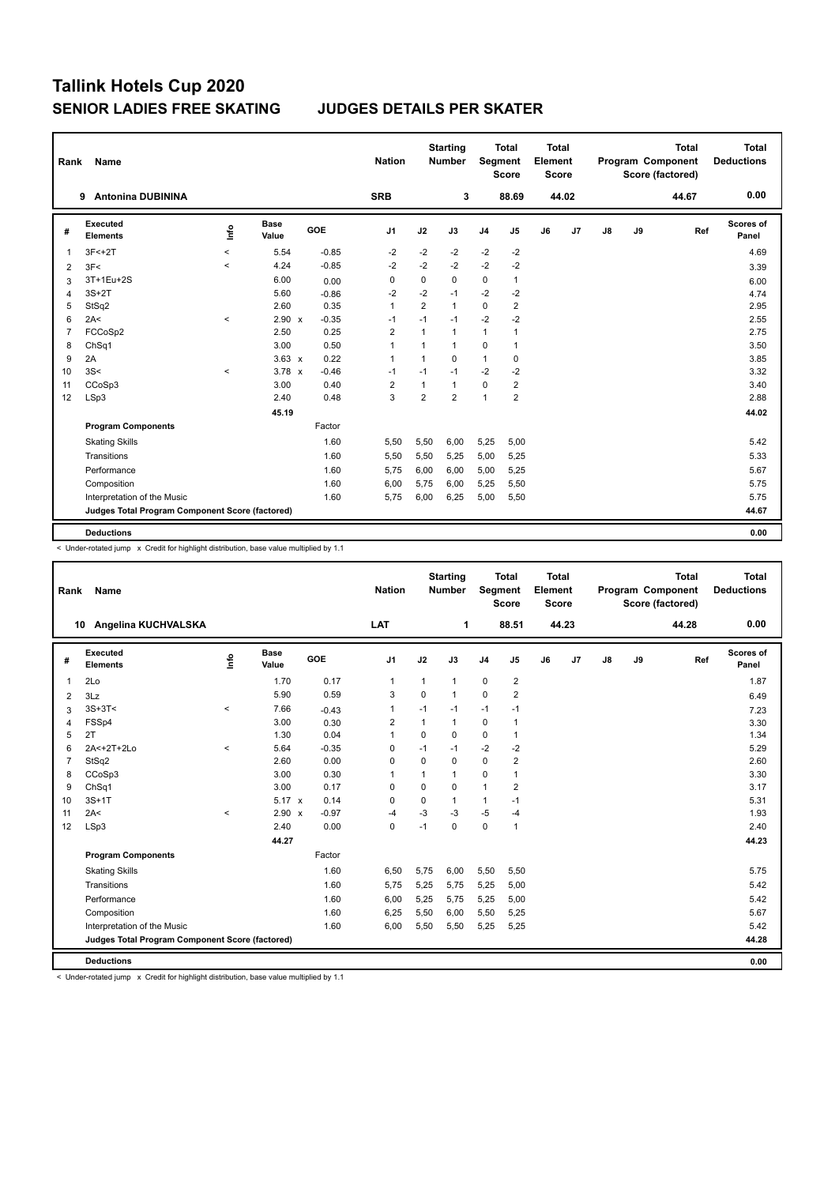| Rank           | <b>Name</b>                                     |                          |                      |            | <b>Nation</b>           |                | <b>Starting</b><br><b>Number</b> | Segment        | <b>Total</b><br><b>Score</b> | <b>Total</b><br>Element<br><b>Score</b> |       |    |    | <b>Total</b><br>Program Component<br>Score (factored) | <b>Total</b><br><b>Deductions</b> |
|----------------|-------------------------------------------------|--------------------------|----------------------|------------|-------------------------|----------------|----------------------------------|----------------|------------------------------|-----------------------------------------|-------|----|----|-------------------------------------------------------|-----------------------------------|
|                | <b>Antonina DUBININA</b><br>9                   |                          |                      |            | <b>SRB</b>              |                | 3                                |                | 88.69                        |                                         | 44.02 |    |    | 44.67                                                 | 0.00                              |
| #              | Executed<br><b>Elements</b>                     | $\mathop{\mathsf{Info}}$ | <b>Base</b><br>Value | <b>GOE</b> | J1                      | J2             | J3                               | J <sub>4</sub> | J5                           | J6                                      | J7    | J8 | J9 | Ref                                                   | <b>Scores of</b><br>Panel         |
| $\overline{1}$ | $3F < +2T$                                      | $\,<\,$                  | 5.54                 | $-0.85$    | $-2$                    | $-2$           | $-2$                             | $-2$           | $-2$                         |                                         |       |    |    |                                                       | 4.69                              |
| $\overline{2}$ | 3F<                                             | $\,<$                    | 4.24                 | $-0.85$    | $-2$                    | $-2$           | $-2$                             | $-2$           | $-2$                         |                                         |       |    |    |                                                       | 3.39                              |
| 3              | 3T+1Eu+2S                                       |                          | 6.00                 | 0.00       | 0                       | 0              | 0                                | 0              | $\mathbf{1}$                 |                                         |       |    |    |                                                       | 6.00                              |
| 4              | $3S+2T$                                         |                          | 5.60                 | $-0.86$    | $-2$                    | $-2$           | $-1$                             | $-2$           | $-2$                         |                                         |       |    |    |                                                       | 4.74                              |
| 5              | StSq2                                           |                          | 2.60                 | 0.35       | $\mathbf{1}$            | $\overline{2}$ | 1                                | $\mathbf 0$    | $\overline{2}$               |                                         |       |    |    |                                                       | 2.95                              |
| 6              | 2A<                                             | $\prec$                  | 2.90 x               | $-0.35$    | $-1$                    | $-1$           | $-1$                             | $-2$           | $-2$                         |                                         |       |    |    |                                                       | 2.55                              |
| $\overline{7}$ | FCCoSp2                                         |                          | 2.50                 | 0.25       | $\overline{2}$          | $\mathbf{1}$   | 1                                | $\mathbf{1}$   | 1                            |                                         |       |    |    |                                                       | 2.75                              |
| 8              | ChSq1                                           |                          | 3.00                 | 0.50       | $\mathbf{1}$            | 1              | 1                                | $\Omega$       | $\mathbf{1}$                 |                                         |       |    |    |                                                       | 3.50                              |
| 9              | 2A                                              |                          | $3.63 \times$        | 0.22       | $\mathbf{1}$            | 1              | 0                                | $\mathbf{1}$   | 0                            |                                         |       |    |    |                                                       | 3.85                              |
| 10             | 3S<                                             | $\prec$                  | $3.78 \times$        | $-0.46$    | $-1$                    | $-1$           | $-1$                             | $-2$           | $-2$                         |                                         |       |    |    |                                                       | 3.32                              |
| 11             | CCoSp3                                          |                          | 3.00                 | 0.40       | $\overline{\mathbf{c}}$ | 1              | 1                                | $\mathbf 0$    | $\overline{\mathbf{c}}$      |                                         |       |    |    |                                                       | 3.40                              |
| 12             | LSp3                                            |                          | 2.40                 | 0.48       | 3                       | $\overline{2}$ | $\overline{2}$                   | $\mathbf{1}$   | $\overline{2}$               |                                         |       |    |    |                                                       | 2.88                              |
|                |                                                 |                          | 45.19                |            |                         |                |                                  |                |                              |                                         |       |    |    |                                                       | 44.02                             |
|                | <b>Program Components</b>                       |                          |                      | Factor     |                         |                |                                  |                |                              |                                         |       |    |    |                                                       |                                   |
|                | <b>Skating Skills</b>                           |                          |                      | 1.60       | 5,50                    | 5,50           | 6,00                             | 5,25           | 5,00                         |                                         |       |    |    |                                                       | 5.42                              |
|                | Transitions                                     |                          |                      | 1.60       | 5,50                    | 5,50           | 5,25                             | 5,00           | 5,25                         |                                         |       |    |    |                                                       | 5.33                              |
|                | Performance                                     |                          |                      | 1.60       | 5,75                    | 6,00           | 6,00                             | 5,00           | 5,25                         |                                         |       |    |    |                                                       | 5.67                              |
|                | Composition                                     |                          |                      | 1.60       | 6,00                    | 5,75           | 6,00                             | 5,25           | 5,50                         |                                         |       |    |    |                                                       | 5.75                              |
|                | Interpretation of the Music                     |                          |                      | 1.60       | 5,75                    | 6,00           | 6,25                             | 5,00           | 5,50                         |                                         |       |    |    |                                                       | 5.75                              |
|                | Judges Total Program Component Score (factored) |                          |                      |            |                         |                |                                  |                |                              |                                         |       |    |    |                                                       | 44.67                             |
|                |                                                 |                          |                      |            |                         |                |                                  |                |                              |                                         |       |    |    |                                                       |                                   |
|                | <b>Deductions</b>                               |                          |                      |            |                         |                |                                  |                |                              |                                         |       |    |    |                                                       | 0.00                              |

< Under-rotated jump x Credit for highlight distribution, base value multiplied by 1.1

| Rank           | <b>Name</b>                                     |         |                      |         | <b>Nation</b>  |              | <b>Starting</b><br><b>Number</b> | Segment        | <b>Total</b><br><b>Score</b> | <b>Total</b><br>Element<br><b>Score</b> |       |               |    | <b>Total</b><br>Program Component<br>Score (factored) | <b>Total</b><br><b>Deductions</b> |
|----------------|-------------------------------------------------|---------|----------------------|---------|----------------|--------------|----------------------------------|----------------|------------------------------|-----------------------------------------|-------|---------------|----|-------------------------------------------------------|-----------------------------------|
|                | Angelina KUCHVALSKA<br>10                       |         |                      |         | <b>LAT</b>     |              | 1                                |                | 88.51                        |                                         | 44.23 |               |    | 44.28                                                 | 0.00                              |
| #              | Executed<br><b>Elements</b>                     | Info    | <b>Base</b><br>Value | GOE     | J <sub>1</sub> | J2           | J3                               | J <sub>4</sub> | J <sub>5</sub>               | J6                                      | J7    | $\mathsf{J}8$ | J9 | Ref                                                   | Scores of<br>Panel                |
| $\overline{1}$ | 2Lo                                             |         | 1.70                 | 0.17    | $\mathbf{1}$   | $\mathbf{1}$ | 1                                | 0              | 2                            |                                         |       |               |    |                                                       | 1.87                              |
| $\overline{2}$ | 3Lz                                             |         | 5.90                 | 0.59    | 3              | $\mathbf 0$  | 1                                | $\mathbf 0$    | $\overline{\mathbf{c}}$      |                                         |       |               |    |                                                       | 6.49                              |
| 3              | $3S+3T<$                                        | $\prec$ | 7.66                 | $-0.43$ | $\mathbf{1}$   | $-1$         | $-1$                             | $-1$           | $-1$                         |                                         |       |               |    |                                                       | 7.23                              |
| 4              | FSSp4                                           |         | 3.00                 | 0.30    | 2              | 1            | 1                                | 0              | 1                            |                                         |       |               |    |                                                       | 3.30                              |
| 5              | 2T                                              |         | 1.30                 | 0.04    | $\mathbf{1}$   | 0            | 0                                | 0              | 1                            |                                         |       |               |    |                                                       | 1.34                              |
| 6              | 2A<+2T+2Lo                                      | $\prec$ | 5.64                 | $-0.35$ | 0              | $-1$         | $-1$                             | $-2$           | $-2$                         |                                         |       |               |    |                                                       | 5.29                              |
| $\overline{7}$ | StSq2                                           |         | 2.60                 | 0.00    | 0              | $\Omega$     | 0                                | 0              | 2                            |                                         |       |               |    |                                                       | 2.60                              |
| 8              | CCoSp3                                          |         | 3.00                 | 0.30    | $\overline{1}$ | $\mathbf{1}$ | $\mathbf{1}$                     | 0              | $\overline{1}$               |                                         |       |               |    |                                                       | 3.30                              |
| 9              | ChSq1                                           |         | 3.00                 | 0.17    | $\Omega$       | $\Omega$     | $\Omega$                         | $\mathbf{1}$   | $\overline{\mathbf{c}}$      |                                         |       |               |    |                                                       | 3.17                              |
| 10             | $3S+1T$                                         |         | $5.17 \times$        | 0.14    | 0              | $\mathbf 0$  | 1                                | $\mathbf{1}$   | $-1$                         |                                         |       |               |    |                                                       | 5.31                              |
| 11             | 2A<                                             | $\prec$ | 2.90 x               | $-0.97$ | $-4$           | $-3$         | $-3$                             | $-5$           | $-4$                         |                                         |       |               |    |                                                       | 1.93                              |
| 12             | LSp3                                            |         | 2.40                 | 0.00    | $\mathbf 0$    | $-1$         | $\mathbf 0$                      | 0              | $\mathbf{1}$                 |                                         |       |               |    |                                                       | 2.40                              |
|                |                                                 |         | 44.27                |         |                |              |                                  |                |                              |                                         |       |               |    |                                                       | 44.23                             |
|                | <b>Program Components</b>                       |         |                      | Factor  |                |              |                                  |                |                              |                                         |       |               |    |                                                       |                                   |
|                | <b>Skating Skills</b>                           |         |                      | 1.60    | 6,50           | 5,75         | 6,00                             | 5,50           | 5,50                         |                                         |       |               |    |                                                       | 5.75                              |
|                | Transitions                                     |         |                      | 1.60    | 5,75           | 5,25         | 5,75                             | 5,25           | 5,00                         |                                         |       |               |    |                                                       | 5.42                              |
|                | Performance                                     |         |                      | 1.60    | 6,00           | 5,25         | 5,75                             | 5,25           | 5,00                         |                                         |       |               |    |                                                       | 5.42                              |
|                | Composition                                     |         |                      | 1.60    | 6,25           | 5,50         | 6,00                             | 5,50           | 5,25                         |                                         |       |               |    |                                                       | 5.67                              |
|                | Interpretation of the Music                     |         |                      | 1.60    | 6.00           | 5,50         | 5,50                             | 5,25           | 5,25                         |                                         |       |               |    |                                                       | 5.42                              |
|                | Judges Total Program Component Score (factored) |         |                      |         |                |              |                                  |                |                              |                                         |       |               |    |                                                       | 44.28                             |
|                | <b>Deductions</b>                               |         |                      |         |                |              |                                  |                |                              |                                         |       |               |    |                                                       | 0.00                              |

< Under-rotated jump x Credit for highlight distribution, base value multiplied by 1.1